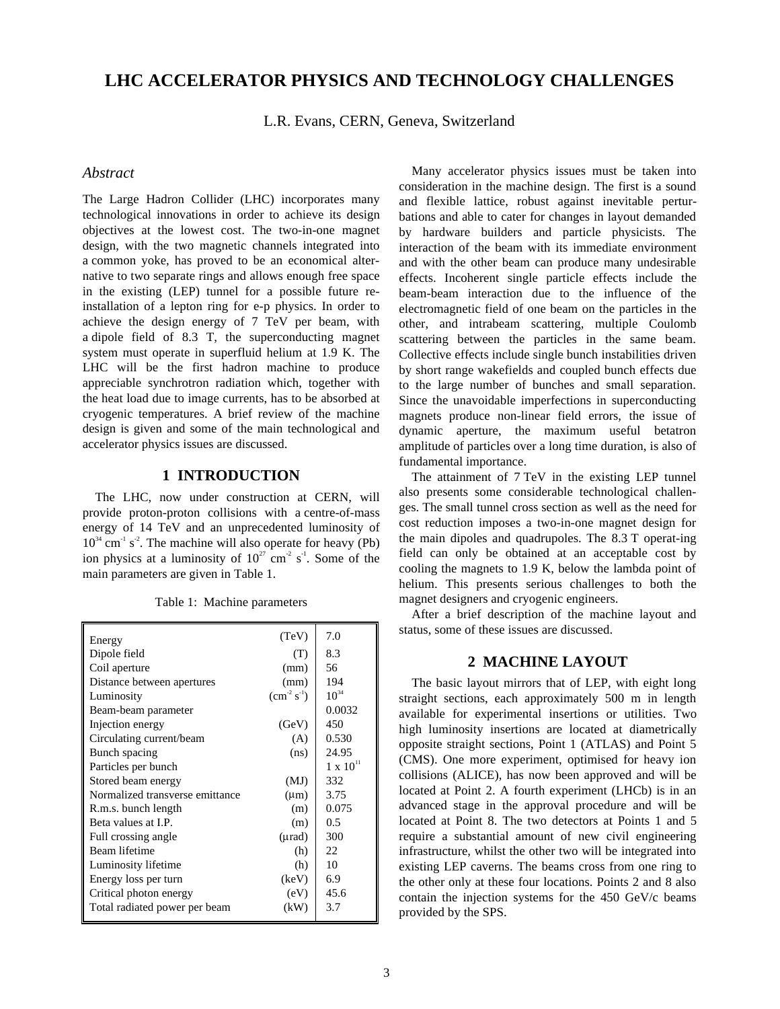# **LHC ACCELERATOR PHYSICS AND TECHNOLOGY CHALLENGES**

L.R. Evans, CERN, Geneva, Switzerland

#### *Abstract*

The Large Hadron Collider (LHC) incorporates many technological innovations in order to achieve its design objectives at the lowest cost. The two-in-one magnet design, with the two magnetic channels integrated into a common yoke, has proved to be an economical alternative to two separate rings and allows enough free space in the existing (LEP) tunnel for a possible future reinstallation of a lepton ring for e-p physics. In order to achieve the design energy of 7 TeV per beam, with a dipole field of 8.3 T, the superconducting magnet system must operate in superfluid helium at 1.9 K. The LHC will be the first hadron machine to produce appreciable synchrotron radiation which, together with the heat load due to image currents, has to be absorbed at cryogenic temperatures. A brief review of the machine design is given and some of the main technological and accelerator physics issues are discussed.

### **1 INTRODUCTION**

The LHC, now under construction at CERN, will provide proton-proton collisions with a centre-of-mass energy of 14 TeV and an unprecedented luminosity of  $10^{34}$  cm<sup>-1</sup> s<sup>-2</sup>. The machine will also operate for heavy (Pb) ion physics at a luminosity of  $10^{27}$  cm<sup>-2</sup> s<sup>-1</sup>. Some of the main parameters are given in Table 1.

| Energy                          | (TeV)        | 7.0                |
|---------------------------------|--------------|--------------------|
| Dipole field                    | (T)          | 8.3                |
| Coil aperture                   | (mm)         | 56                 |
| Distance between apertures      | (mm)         | 194                |
| Luminosity                      | $(cm-2 s-1)$ | $10^{34}$          |
| Beam-beam parameter             |              | 0.0032             |
| Injection energy                | (GeV)        | 450                |
| Circulating current/beam        | (A)          | 0.530              |
| Bunch spacing                   | (ns)         | 24.95              |
| Particles per bunch             |              | $1 \times 10^{11}$ |
| Stored beam energy              | (MJ)         | 332                |
| Normalized transverse emittance | $(\mu m)$    | 3.75               |
| R.m.s. bunch length             | (m)          | 0.075              |
| Beta values at I.P.             | (m)          | 0.5                |
| Full crossing angle             | (µrad)       | 300                |
| Beam lifetime                   | (h)          | 22.                |
| Luminosity lifetime             | (h)          | 10                 |
| Energy loss per turn            | (keV)        | 6.9                |
| Critical photon energy          | (eV)         | 45.6               |
| Total radiated power per beam   | (kW)         | 3.7                |

Table 1: Machine parameters

Many accelerator physics issues must be taken into consideration in the machine design. The first is a sound and flexible lattice, robust against inevitable perturbations and able to cater for changes in layout demanded by hardware builders and particle physicists. The interaction of the beam with its immediate environment and with the other beam can produce many undesirable effects. Incoherent single particle effects include the beam-beam interaction due to the influence of the electromagnetic field of one beam on the particles in the other, and intrabeam scattering, multiple Coulomb scattering between the particles in the same beam. Collective effects include single bunch instabilities driven by short range wakefields and coupled bunch effects due to the large number of bunches and small separation. Since the unavoidable imperfections in superconducting magnets produce non-linear field errors, the issue of dynamic aperture, the maximum useful betatron amplitude of particles over a long time duration, is also of fundamental importance.

The attainment of 7 TeV in the existing LEP tunnel also presents some considerable technological challenges. The small tunnel cross section as well as the need for cost reduction imposes a two-in-one magnet design for the main dipoles and quadrupoles. The 8.3 T operat-ing field can only be obtained at an acceptable cost by cooling the magnets to 1.9 K, below the lambda point of helium. This presents serious challenges to both the magnet designers and cryogenic engineers.

After a brief description of the machine layout and status, some of these issues are discussed.

### **2 MACHINE LAYOUT**

The basic layout mirrors that of LEP, with eight long straight sections, each approximately 500 m in length available for experimental insertions or utilities. Two high luminosity insertions are located at diametrically opposite straight sections, Point 1 (ATLAS) and Point 5 (CMS). One more experiment, optimised for heavy ion collisions (ALICE), has now been approved and will be located at Point 2. A fourth experiment (LHCb) is in an advanced stage in the approval procedure and will be located at Point 8. The two detectors at Points 1 and 5 require a substantial amount of new civil engineering infrastructure, whilst the other two will be integrated into existing LEP caverns. The beams cross from one ring to the other only at these four locations. Points 2 and 8 also contain the injection systems for the 450 GeV/c beams provided by the SPS.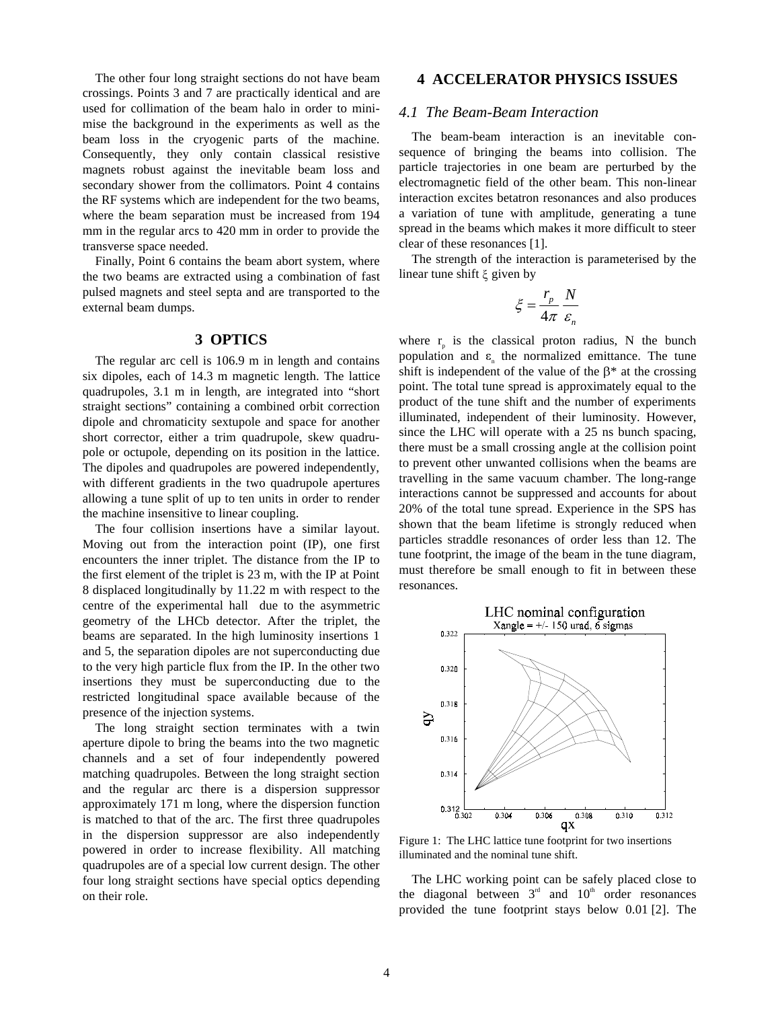The other four long straight sections do not have beam crossings. Points 3 and 7 are practically identical and are used for collimation of the beam halo in order to minimise the background in the experiments as well as the beam loss in the cryogenic parts of the machine. Consequently, they only contain classical resistive magnets robust against the inevitable beam loss and secondary shower from the collimators. Point 4 contains the RF systems which are independent for the two beams, where the beam separation must be increased from 194 mm in the regular arcs to 420 mm in order to provide the transverse space needed.

Finally, Point 6 contains the beam abort system, where the two beams are extracted using a combination of fast pulsed magnets and steel septa and are transported to the external beam dumps.

### **3 OPTICS**

The regular arc cell is 106.9 m in length and contains six dipoles, each of 14.3 m magnetic length. The lattice quadrupoles, 3.1 m in length, are integrated into "short straight sections" containing a combined orbit correction dipole and chromaticity sextupole and space for another short corrector, either a trim quadrupole, skew quadrupole or octupole, depending on its position in the lattice. The dipoles and quadrupoles are powered independently, with different gradients in the two quadrupole apertures allowing a tune split of up to ten units in order to render the machine insensitive to linear coupling.

The four collision insertions have a similar layout. Moving out from the interaction point (IP), one first encounters the inner triplet. The distance from the IP to the first element of the triplet is 23 m, with the IP at Point 8 displaced longitudinally by 11.22 m with respect to the centre of the experimental hall due to the asymmetric geometry of the LHCb detector. After the triplet, the beams are separated. In the high luminosity insertions 1 and 5, the separation dipoles are not superconducting due to the very high particle flux from the IP. In the other two insertions they must be superconducting due to the restricted longitudinal space available because of the presence of the injection systems.

The long straight section terminates with a twin aperture dipole to bring the beams into the two magnetic channels and a set of four independently powered matching quadrupoles. Between the long straight section and the regular arc there is a dispersion suppressor approximately 171 m long, where the dispersion function is matched to that of the arc. The first three quadrupoles in the dispersion suppressor are also independently powered in order to increase flexibility. All matching quadrupoles are of a special low current design. The other four long straight sections have special optics depending on their role.

### **4 ACCELERATOR PHYSICS ISSUES**

#### *4.1 The Beam-Beam Interaction*

The beam-beam interaction is an inevitable consequence of bringing the beams into collision. The particle trajectories in one beam are perturbed by the electromagnetic field of the other beam. This non-linear interaction excites betatron resonances and also produces a variation of tune with amplitude, generating a tune spread in the beams which makes it more difficult to steer clear of these resonances [1].

The strength of the interaction is parameterised by the linear tune shift  $\xi$  given by

$$
\xi = \frac{r_p}{4\pi} \frac{N}{\varepsilon_n}
$$

where  $r_{p}$  is the classical proton radius, N the bunch population and  $\varepsilon_n$  the normalized emittance. The tune shift is independent of the value of the  $\beta^*$  at the crossing point. The total tune spread is approximately equal to the product of the tune shift and the number of experiments illuminated, independent of their luminosity. However, since the LHC will operate with a 25 ns bunch spacing, there must be a small crossing angle at the collision point to prevent other unwanted collisions when the beams are travelling in the same vacuum chamber. The long-range interactions cannot be suppressed and accounts for about 20% of the total tune spread. Experience in the SPS has shown that the beam lifetime is strongly reduced when particles straddle resonances of order less than 12. The tune footprint, the image of the beam in the tune diagram, must therefore be small enough to fit in between these resonances.



Figure 1: The LHC lattice tune footprint for two insertions illuminated and the nominal tune shift.

The LHC working point can be safely placed close to the diagonal between  $3<sup>rd</sup>$  and  $10<sup>th</sup>$  order resonances provided the tune footprint stays below 0.01 [2]. The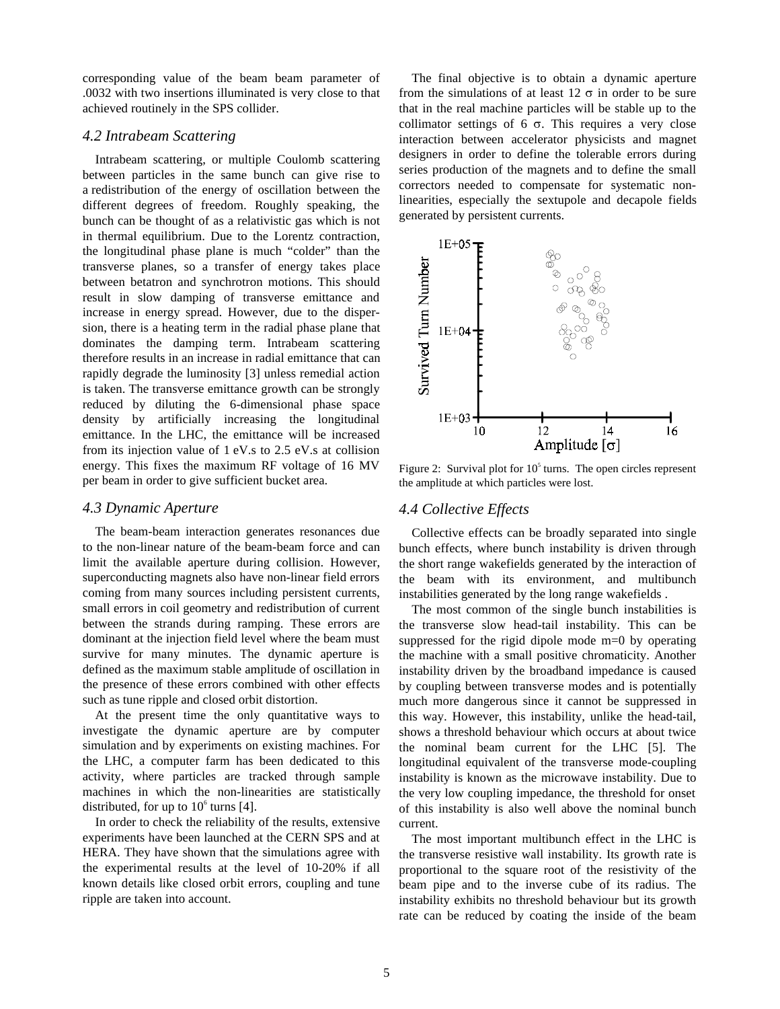corresponding value of the beam beam parameter of .0032 with two insertions illuminated is very close to that achieved routinely in the SPS collider.

#### *4.2 Intrabeam Scattering*

Intrabeam scattering, or multiple Coulomb scattering between particles in the same bunch can give rise to a redistribution of the energy of oscillation between the different degrees of freedom. Roughly speaking, the bunch can be thought of as a relativistic gas which is not in thermal equilibrium. Due to the Lorentz contraction, the longitudinal phase plane is much "colder" than the transverse planes, so a transfer of energy takes place between betatron and synchrotron motions. This should result in slow damping of transverse emittance and increase in energy spread. However, due to the dispersion, there is a heating term in the radial phase plane that dominates the damping term. Intrabeam scattering therefore results in an increase in radial emittance that can rapidly degrade the luminosity [3] unless remedial action is taken. The transverse emittance growth can be strongly reduced by diluting the 6-dimensional phase space density by artificially increasing the longitudinal emittance. In the LHC, the emittance will be increased from its injection value of 1 eV.s to 2.5 eV.s at collision energy. This fixes the maximum RF voltage of 16 MV per beam in order to give sufficient bucket area.

#### *4.3 Dynamic Aperture*

The beam-beam interaction generates resonances due to the non-linear nature of the beam-beam force and can limit the available aperture during collision. However, superconducting magnets also have non-linear field errors coming from many sources including persistent currents, small errors in coil geometry and redistribution of current between the strands during ramping. These errors are dominant at the injection field level where the beam must survive for many minutes. The dynamic aperture is defined as the maximum stable amplitude of oscillation in the presence of these errors combined with other effects such as tune ripple and closed orbit distortion.

At the present time the only quantitative ways to investigate the dynamic aperture are by computer simulation and by experiments on existing machines. For the LHC, a computer farm has been dedicated to this activity, where particles are tracked through sample machines in which the non-linearities are statistically distributed, for up to  $10^6$  turns [4].

In order to check the reliability of the results, extensive experiments have been launched at the CERN SPS and at HERA. They have shown that the simulations agree with the experimental results at the level of 10-20% if all known details like closed orbit errors, coupling and tune ripple are taken into account.

The final objective is to obtain a dynamic aperture from the simulations of at least  $12 \sigma$  in order to be sure that in the real machine particles will be stable up to the collimator settings of  $6\sigma$ . This requires a very close interaction between accelerator physicists and magnet designers in order to define the tolerable errors during series production of the magnets and to define the small correctors needed to compensate for systematic nonlinearities, especially the sextupole and decapole fields generated by persistent currents.



Figure 2: Survival plot for  $10<sup>5</sup>$  turns. The open circles represent the amplitude at which particles were lost.

#### *4.4 Collective Effects*

Collective effects can be broadly separated into single bunch effects, where bunch instability is driven through the short range wakefields generated by the interaction of the beam with its environment, and multibunch instabilities generated by the long range wakefields .

The most common of the single bunch instabilities is the transverse slow head-tail instability. This can be suppressed for the rigid dipole mode m=0 by operating the machine with a small positive chromaticity. Another instability driven by the broadband impedance is caused by coupling between transverse modes and is potentially much more dangerous since it cannot be suppressed in this way. However, this instability, unlike the head-tail, shows a threshold behaviour which occurs at about twice the nominal beam current for the LHC [5]. The longitudinal equivalent of the transverse mode-coupling instability is known as the microwave instability. Due to the very low coupling impedance, the threshold for onset of this instability is also well above the nominal bunch current.

The most important multibunch effect in the LHC is the transverse resistive wall instability. Its growth rate is proportional to the square root of the resistivity of the beam pipe and to the inverse cube of its radius. The instability exhibits no threshold behaviour but its growth rate can be reduced by coating the inside of the beam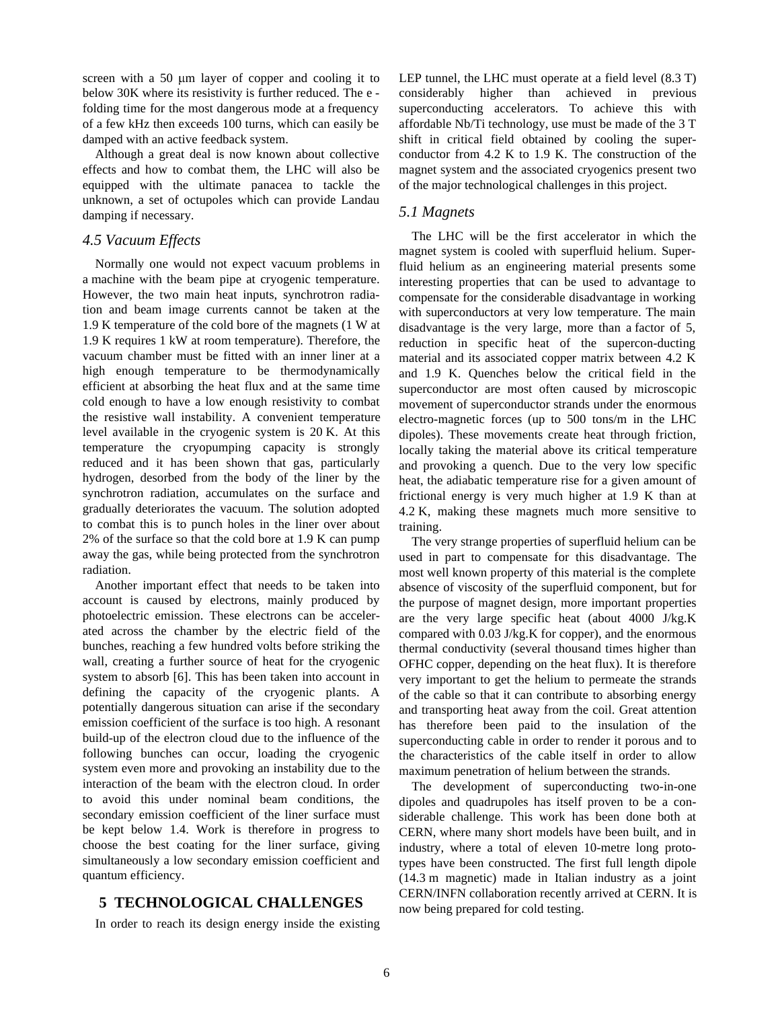screen with a 50  $\mu$ m layer of copper and cooling it to below 30K where its resistivity is further reduced. The e folding time for the most dangerous mode at a frequency of a few kHz then exceeds 100 turns, which can easily be damped with an active feedback system.

Although a great deal is now known about collective effects and how to combat them, the LHC will also be equipped with the ultimate panacea to tackle the unknown, a set of octupoles which can provide Landau damping if necessary.

### *4.5 Vacuum Effects*

Normally one would not expect vacuum problems in a machine with the beam pipe at cryogenic temperature. However, the two main heat inputs, synchrotron radiation and beam image currents cannot be taken at the 1.9 K temperature of the cold bore of the magnets (1 W at 1.9 K requires 1 kW at room temperature). Therefore, the vacuum chamber must be fitted with an inner liner at a high enough temperature to be thermodynamically efficient at absorbing the heat flux and at the same time cold enough to have a low enough resistivity to combat the resistive wall instability. A convenient temperature level available in the cryogenic system is 20 K. At this temperature the cryopumping capacity is strongly reduced and it has been shown that gas, particularly hydrogen, desorbed from the body of the liner by the synchrotron radiation, accumulates on the surface and gradually deteriorates the vacuum. The solution adopted to combat this is to punch holes in the liner over about 2% of the surface so that the cold bore at 1.9 K can pump away the gas, while being protected from the synchrotron radiation.

Another important effect that needs to be taken into account is caused by electrons, mainly produced by photoelectric emission. These electrons can be accelerated across the chamber by the electric field of the bunches, reaching a few hundred volts before striking the wall, creating a further source of heat for the cryogenic system to absorb [6]. This has been taken into account in defining the capacity of the cryogenic plants. A potentially dangerous situation can arise if the secondary emission coefficient of the surface is too high. A resonant build-up of the electron cloud due to the influence of the following bunches can occur, loading the cryogenic system even more and provoking an instability due to the interaction of the beam with the electron cloud. In order to avoid this under nominal beam conditions, the secondary emission coefficient of the liner surface must be kept below 1.4. Work is therefore in progress to choose the best coating for the liner surface, giving simultaneously a low secondary emission coefficient and quantum efficiency.

## **5 TECHNOLOGICAL CHALLENGES**

In order to reach its design energy inside the existing

LEP tunnel, the LHC must operate at a field level (8.3 T) considerably higher than achieved in previous superconducting accelerators. To achieve this with affordable Nb/Ti technology, use must be made of the 3 T shift in critical field obtained by cooling the superconductor from 4.2 K to 1.9 K. The construction of the magnet system and the associated cryogenics present two of the major technological challenges in this project.

### *5.1 Magnets*

The LHC will be the first accelerator in which the magnet system is cooled with superfluid helium. Superfluid helium as an engineering material presents some interesting properties that can be used to advantage to compensate for the considerable disadvantage in working with superconductors at very low temperature. The main disadvantage is the very large, more than a factor of 5, reduction in specific heat of the supercon-ducting material and its associated copper matrix between 4.2 K and 1.9 K. Quenches below the critical field in the superconductor are most often caused by microscopic movement of superconductor strands under the enormous electro-magnetic forces (up to 500 tons/m in the LHC dipoles). These movements create heat through friction, locally taking the material above its critical temperature and provoking a quench. Due to the very low specific heat, the adiabatic temperature rise for a given amount of frictional energy is very much higher at 1.9 K than at 4.2 K, making these magnets much more sensitive to training.

The very strange properties of superfluid helium can be used in part to compensate for this disadvantage. The most well known property of this material is the complete absence of viscosity of the superfluid component, but for the purpose of magnet design, more important properties are the very large specific heat (about 4000 J/kg.K compared with 0.03 J/kg.K for copper), and the enormous thermal conductivity (several thousand times higher than OFHC copper, depending on the heat flux). It is therefore very important to get the helium to permeate the strands of the cable so that it can contribute to absorbing energy and transporting heat away from the coil. Great attention has therefore been paid to the insulation of the superconducting cable in order to render it porous and to the characteristics of the cable itself in order to allow maximum penetration of helium between the strands.

The development of superconducting two-in-one dipoles and quadrupoles has itself proven to be a considerable challenge. This work has been done both at CERN, where many short models have been built, and in industry, where a total of eleven 10-metre long prototypes have been constructed. The first full length dipole (14.3 m magnetic) made in Italian industry as a joint CERN/INFN collaboration recently arrived at CERN. It is now being prepared for cold testing.